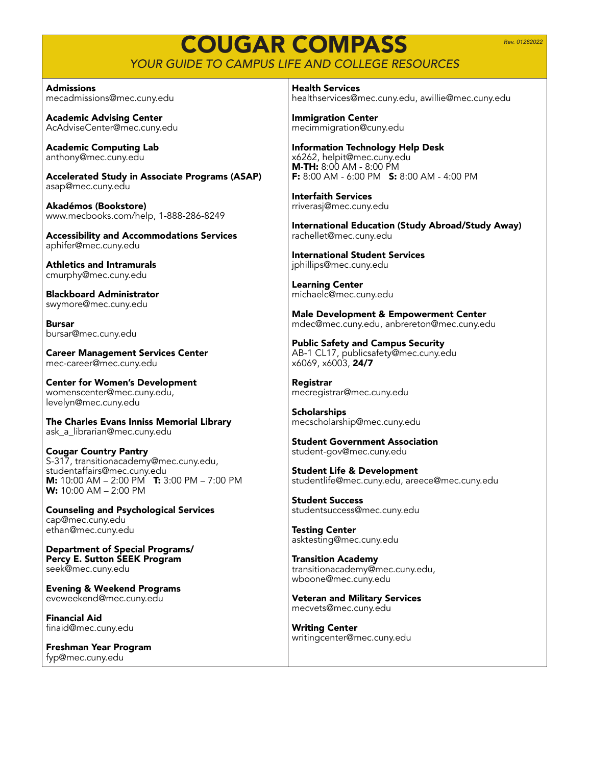*Rev. 01282022*

## COUGAR COMPASS *YOUR GUIDE TO CAMPUS LIFE AND COLLEGE RESOURCES*

Admissions mecadmissions@mec.cuny.edu

Academic Advising Center AcAdviseCenter@mec.cuny.edu

Academic Computing Lab anthony@mec.cuny.edu

Accelerated Study in Associate Programs (ASAP) asap@mec.cuny.edu

Akadémos (Bookstore) www.mecbooks.com/help, 1-888-286-8249

Accessibility and Accommodations Services aphifer@mec.cuny.edu

Athletics and Intramurals cmurphy@mec.cuny.edu

Blackboard Administrator swymore@mec.cuny.edu

Bursar bursar@mec.cuny.edu

Career Management Services Center mec-career@mec.cuny.edu

Center for Women's Development womenscenter@mec.cuny.edu, levelyn@mec.cuny.edu

The Charles Evans Inniss Memorial Library ask\_a\_librarian@mec.cuny.edu

Cougar Country Pantry S-317, transitionacademy@mec.cuny.edu, studentaffairs@mec.cuny.edu **M:** 10:00 AM – 2:00 PM **T:** 3:00 PM – 7:00 PM **W:** 10:00 AM – 2:00 PM

Counseling and Psychological Services cap@mec.cuny.edu ethan@mec.cuny.edu

Department of Special Programs/ Percy E. Sutton SEEK Program seek@mec.cuny.edu

Evening & Weekend Programs eveweekend@mec.cuny.edu

Financial Aid finaid@mec.cuny.edu

Freshman Year Program fyp@mec.cuny.edu

Health Services healthservices@mec.cuny.edu, awillie@mec.cuny.edu

Immigration Center mecimmigration@cuny.edu

Information Technology Help Desk x6262, helpit@mec.cuny.edu **M-TH:** 8:00 AM - 8:00 PM F: 8:00 AM - 6:00 PM S: 8:00 AM - 4:00 PM

Interfaith Services rriverasj@mec.cuny.edu

International Education (Study Abroad/Study Away) rachellet@mec.cuny.edu

International Student Services jphillips@mec.cuny.edu

Learning Center michaelc@mec.cuny.edu

Male Development & Empowerment Center mdec@mec.cuny.edu, anbrereton@mec.cuny.edu

Public Safety and Campus Security AB-1 CL17, publicsafety@mec.cuny.edu x6069, x6003, 24/7

Registrar mecregistrar@mec.cuny.edu

**Scholarships** mecscholarship@mec.cuny.edu

Student Government Association student-gov@mec.cuny.edu

Student Life & Development studentlife@mec.cuny.edu, areece@mec.cuny.edu

Student Success studentsuccess@mec.cuny.edu

Testing Center asktesting@mec.cuny.edu

Transition Academy transitionacademy@mec.cuny.edu, wboone@mec.cuny.edu

Veteran and Military Services mecvets@mec.cuny.edu

Writing Center writingcenter@mec.cuny.edu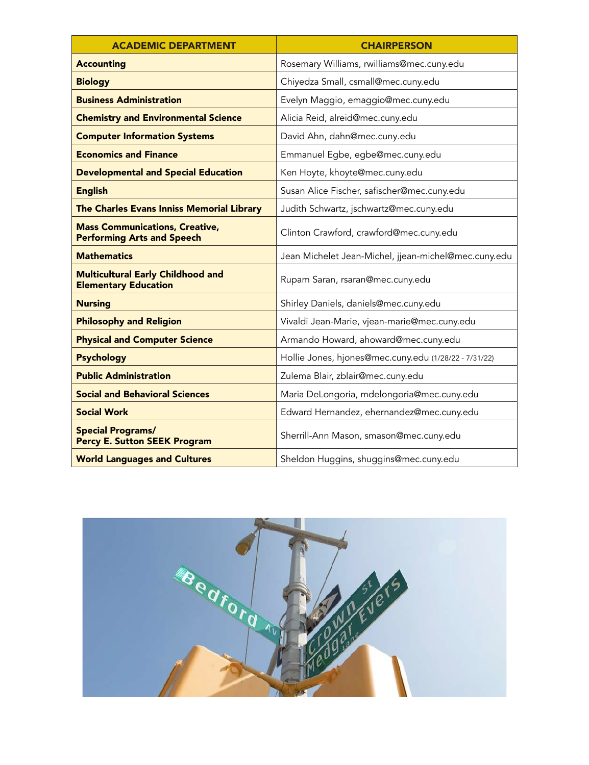| <b>ACADEMIC DEPARTMENT</b>                                                 | <b>CHAIRPERSON</b>                                    |
|----------------------------------------------------------------------------|-------------------------------------------------------|
| <b>Accounting</b>                                                          | Rosemary Williams, rwilliams@mec.cuny.edu             |
| <b>Biology</b>                                                             | Chiyedza Small, csmall@mec.cuny.edu                   |
| <b>Business Administration</b>                                             | Evelyn Maggio, emaggio@mec.cuny.edu                   |
| <b>Chemistry and Environmental Science</b>                                 | Alicia Reid, alreid@mec.cuny.edu                      |
| <b>Computer Information Systems</b>                                        | David Ahn, dahn@mec.cuny.edu                          |
| <b>Economics and Finance</b>                                               | Emmanuel Egbe, egbe@mec.cuny.edu                      |
| <b>Developmental and Special Education</b>                                 | Ken Hoyte, khoyte@mec.cuny.edu                        |
| <b>English</b>                                                             | Susan Alice Fischer, safischer@mec.cuny.edu           |
| The Charles Evans Inniss Memorial Library                                  | Judith Schwartz, jschwartz@mec.cuny.edu               |
| <b>Mass Communications, Creative,</b><br><b>Performing Arts and Speech</b> | Clinton Crawford, crawford@mec.cuny.edu               |
| <b>Mathematics</b>                                                         | Jean Michelet Jean-Michel, jjean-michel@mec.cuny.edu  |
| <b>Multicultural Early Childhood and</b><br><b>Elementary Education</b>    | Rupam Saran, rsaran@mec.cuny.edu                      |
| <b>Nursing</b>                                                             | Shirley Daniels, daniels@mec.cuny.edu                 |
| <b>Philosophy and Religion</b>                                             | Vivaldi Jean-Marie, vjean-marie@mec.cuny.edu          |
| <b>Physical and Computer Science</b>                                       | Armando Howard, ahoward@mec.cuny.edu                  |
| <b>Psychology</b>                                                          | Hollie Jones, hjones@mec.cuny.edu (1/28/22 - 7/31/22) |
| <b>Public Administration</b>                                               | Zulema Blair, zblair@mec.cuny.edu                     |
| <b>Social and Behavioral Sciences</b>                                      | Maria DeLongoria, mdelongoria@mec.cuny.edu            |
| <b>Social Work</b>                                                         | Edward Hernandez, ehernandez@mec.cuny.edu             |
| <b>Special Programs/</b><br><b>Percy E. Sutton SEEK Program</b>            | Sherrill-Ann Mason, smason@mec.cuny.edu               |
| <b>World Languages and Cultures</b>                                        | Sheldon Huggins, shuggins@mec.cuny.edu                |